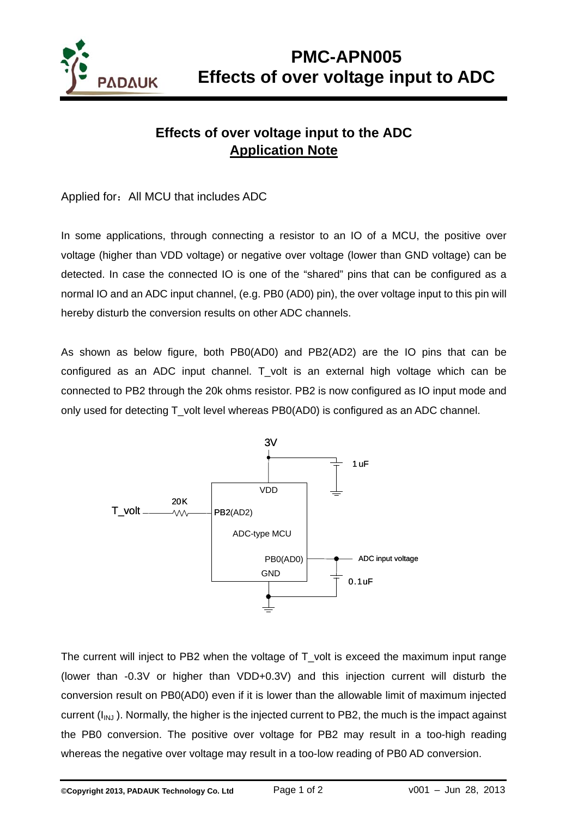

## **Effects of over voltage input to the ADC Application Note**

## Applied for: All MCU that includes ADC

In some applications, through connecting a resistor to an IO of a MCU, the positive over voltage (higher than VDD voltage) or negative over voltage (lower than GND voltage) can be detected. In case the connected IO is one of the "shared" pins that can be configured as a normal IO and an ADC input channel, (e.g. PB0 (AD0) pin), the over voltage input to this pin will hereby disturb the conversion results on other ADC channels.

As shown as below figure, both PB0(AD0) and PB2(AD2) are the IO pins that can be configured as an ADC input channel. T\_volt is an external high voltage which can be connected to PB2 through the 20k ohms resistor. PB2 is now configured as IO input mode and only used for detecting T volt level whereas PB0(AD0) is configured as an ADC channel.



The current will inject to PB2 when the voltage of T volt is exceed the maximum input range (lower than -0.3V or higher than VDD+0.3V) and this injection current will disturb the conversion result on PB0(AD0) even if it is lower than the allowable limit of maximum injected current  $(I_{INJ})$ . Normally, the higher is the injected current to PB2, the much is the impact against the PB0 conversion. The positive over voltage for PB2 may result in a too-high reading whereas the negative over voltage may result in a too-low reading of PB0 AD conversion.